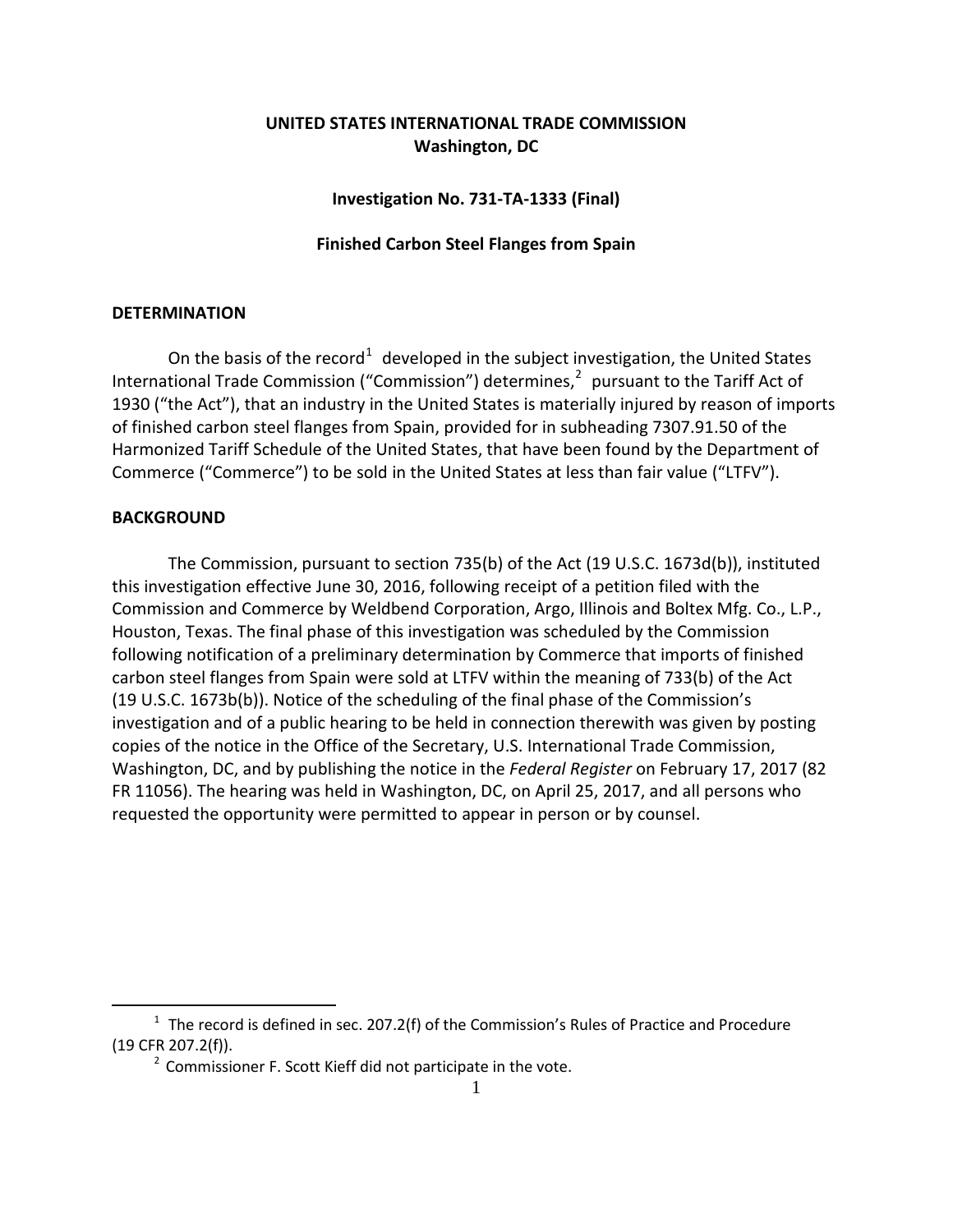## **UNITED STATES INTERNATIONAL TRADE COMMISSION Washington, DC**

**Investigation No. 731-TA-1333 (Final)**

## **Finished Carbon Steel Flanges from Spain**

## **DETERMINATION**

On the basis of the record<sup>[1](#page-0-0)</sup> developed in the subject investigation, the United States International Trade Commission ("Commission") determines,<sup>[2](#page-0-1)</sup> pursuant to the Tariff Act of 1930 ("the Act"), that an industry in the United States is materially injured by reason of imports of finished carbon steel flanges from Spain, provided for in subheading 7307.91.50 of the Harmonized Tariff Schedule of the United States, that have been found by the Department of Commerce ("Commerce") to be sold in the United States at less than fair value ("LTFV").

## **BACKGROUND**

 $\overline{a}$ 

The Commission, pursuant to section 735(b) of the Act (19 U.S.C. 1673d(b)), instituted this investigation effective June 30, 2016, following receipt of a petition filed with the Commission and Commerce by Weldbend Corporation, Argo, Illinois and Boltex Mfg. Co., L.P., Houston, Texas. The final phase of this investigation was scheduled by the Commission following notification of a preliminary determination by Commerce that imports of finished carbon steel flanges from Spain were sold at LTFV within the meaning of 733(b) of the Act (19 U.S.C. 1673b(b)). Notice of the scheduling of the final phase of the Commission's investigation and of a public hearing to be held in connection therewith was given by posting copies of the notice in the Office of the Secretary, U.S. International Trade Commission, Washington, DC, and by publishing the notice in the *Federal Register* on February 17, 2017 (82 FR 11056). The hearing was held in Washington, DC, on April 25, 2017, and all persons who requested the opportunity were permitted to appear in person or by counsel.

<span id="page-0-1"></span><span id="page-0-0"></span> $1$  The record is defined in sec. 207.2(f) of the Commission's Rules of Practice and Procedure (19 CFR 207.2(f)).

 $2$  Commissioner F. Scott Kieff did not participate in the vote.